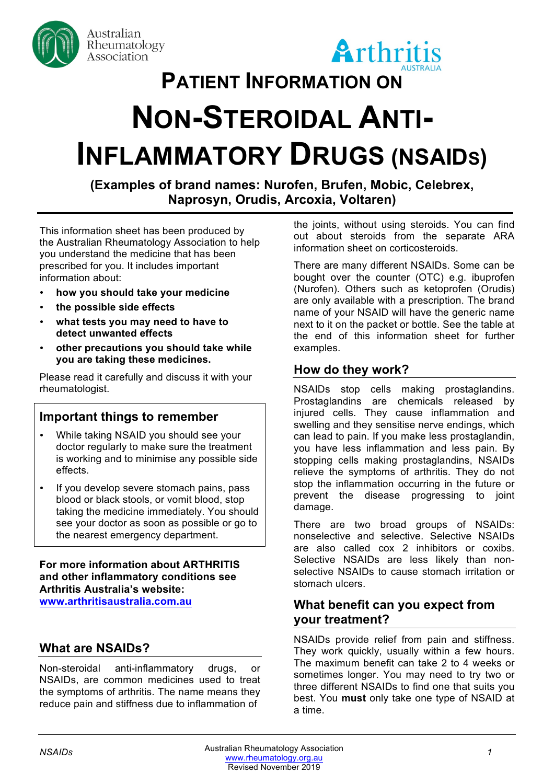

Australian Rheumatology Association



# **PATIENT INFORMATION ON**

# **NON-STEROIDAL ANTI-INFLAMMATORY DRUGS (NSAIDS)**

**(Examples of brand names: Nurofen, Brufen, Mobic, Celebrex, Naprosyn, Orudis, Arcoxia, Voltaren)**

This information sheet has been produced by the Australian Rheumatology Association to help you understand the medicine that has been prescribed for you. It includes important information about:

- **how you should take your medicine**
- **the possible side effects**
- **what tests you may need to have to detect unwanted effects**
- **other precautions you should take while you are taking these medicines.**

Please read it carefully and discuss it with your rheumatologist.

# **Important things to remember**

- While taking NSAID you should see your doctor regularly to make sure the treatment is working and to minimise any possible side effects.
- If you develop severe stomach pains, pass blood or black stools, or vomit blood, stop taking the medicine immediately. You should see your doctor as soon as possible or go to the nearest emergency department.

**For more information about ARTHRITIS and other inflammatory conditions see Arthritis Australia's website: www.arthritisaustralia.com.au**

# **What are NSAIDs?**

Non-steroidal anti-inflammatory drugs, or NSAIDs, are common medicines used to treat the symptoms of arthritis. The name means they reduce pain and stiffness due to inflammation of

the joints, without using steroids. You can find out about steroids from the separate ARA information sheet on corticosteroids.

There are many different NSAIDs. Some can be bought over the counter (OTC) e.g. ibuprofen (Nurofen). Others such as ketoprofen (Orudis) are only available with a prescription. The brand name of your NSAID will have the generic name next to it on the packet or bottle. See the table at the end of this information sheet for further examples.

# **How do they work?**

NSAIDs stop cells making prostaglandins. Prostaglandins are chemicals released by injured cells. They cause inflammation and swelling and they sensitise nerve endings, which can lead to pain. If you make less prostaglandin, you have less inflammation and less pain. By stopping cells making prostaglandins, NSAIDs relieve the symptoms of arthritis. They do not stop the inflammation occurring in the future or prevent the disease progressing to joint damage.

There are two broad groups of NSAIDs: nonselective and selective. Selective NSAIDs are also called cox 2 inhibitors or coxibs. Selective NSAIDs are less likely than nonselective NSAIDs to cause stomach irritation or stomach ulcers.

# **What benefit can you expect from your treatment?**

NSAIDs provide relief from pain and stiffness. They work quickly, usually within a few hours. The maximum benefit can take 2 to 4 weeks or sometimes longer. You may need to try two or three different NSAIDs to find one that suits you best. You **must** only take one type of NSAID at a time.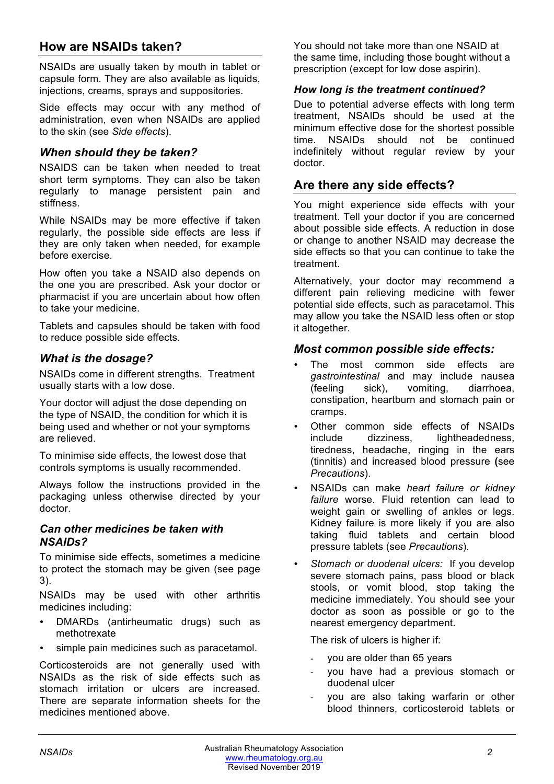# **How are NSAIDs taken?**

NSAIDs are usually taken by mouth in tablet or capsule form. They are also available as liquids, injections, creams, sprays and suppositories.

Side effects may occur with any method of administration, even when NSAIDs are applied to the skin (see *Side effects*).

#### *When should they be taken?*

NSAIDS can be taken when needed to treat short term symptoms. They can also be taken regularly to manage persistent pain and stiffness.

While NSAIDs may be more effective if taken regularly, the possible side effects are less if they are only taken when needed, for example before exercise.

How often you take a NSAID also depends on the one you are prescribed. Ask your doctor or pharmacist if you are uncertain about how often to take your medicine.

Tablets and capsules should be taken with food to reduce possible side effects.

#### *What is the dosage?*

NSAIDs come in different strengths. Treatment usually starts with a low dose.

Your doctor will adjust the dose depending on the type of NSAID, the condition for which it is being used and whether or not your symptoms are relieved.

To minimise side effects, the lowest dose that controls symptoms is usually recommended.

Always follow the instructions provided in the packaging unless otherwise directed by your doctor.

#### *Can other medicines be taken with NSAIDs?*

To minimise side effects, sometimes a medicine to protect the stomach may be given (see page 3).

NSAIDs may be used with other arthritis medicines including:

- DMARDs (antirheumatic drugs) such as methotrexate
- simple pain medicines such as paracetamol.

Corticosteroids are not generally used with NSAIDs as the risk of side effects such as stomach irritation or ulcers are increased. There are separate information sheets for the medicines mentioned above.

You should not take more than one NSAID at the same time, including those bought without a prescription (except for low dose aspirin).

#### *How long is the treatment continued?*

Due to potential adverse effects with long term treatment, NSAIDs should be used at the minimum effective dose for the shortest possible time. NSAIDs should not be continued indefinitely without regular review by your doctor.

# **Are there any side effects?**

You might experience side effects with your treatment. Tell your doctor if you are concerned about possible side effects. A reduction in dose or change to another NSAID may decrease the side effects so that you can continue to take the treatment.

Alternatively, your doctor may recommend a different pain relieving medicine with fewer potential side effects, such as paracetamol. This may allow you take the NSAID less often or stop it altogether.

#### *Most common possible side effects:*

- The most common side effects are *gastrointestinal* and may include nausea (feeling sick), vomiting, diarrhoea, constipation, heartburn and stomach pain or cramps.
- Other common side effects of NSAIDs include dizziness, lightheadedness, tiredness, headache, ringing in the ears (tinnitis) and increased blood pressure **(**see *Precautions*).
- NSAIDs can make *heart failure or kidney failure* worse. Fluid retention can lead to weight gain or swelling of ankles or legs. Kidney failure is more likely if you are also taking fluid tablets and certain blood pressure tablets (see *Precautions*).
- *Stomach or duodenal ulcers:* If you develop severe stomach pains, pass blood or black stools, or vomit blood, stop taking the medicine immediately. You should see your doctor as soon as possible or go to the nearest emergency department.

The risk of ulcers is higher if:

- you are older than 65 years
- you have had a previous stomach or duodenal ulcer
- you are also taking warfarin or other blood thinners, corticosteroid tablets or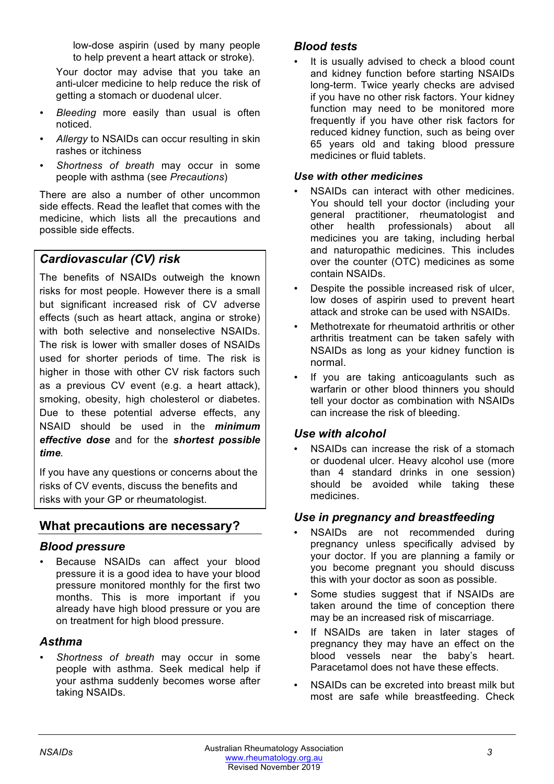low-dose aspirin (used by many people to help prevent a heart attack or stroke).

Your doctor may advise that you take an anti-ulcer medicine to help reduce the risk of getting a stomach or duodenal ulcer.

- *Bleeding* more easily than usual is often noticed.
- *Allergy* to NSAIDs can occur resulting in skin rashes or itchiness
- *Shortness of breath* may occur in some people with asthma (see *Precautions*)

There are also a number of other uncommon side effects. Read the leaflet that comes with the medicine, which lists all the precautions and possible side effects.

# *Cardiovascular (CV) risk*

The benefits of NSAIDs outweigh the known risks for most people. However there is a small but significant increased risk of CV adverse effects (such as heart attack, angina or stroke) with both selective and nonselective NSAIDs. The risk is lower with smaller doses of NSAIDs used for shorter periods of time. The risk is higher in those with other CV risk factors such as a previous CV event (e.g. a heart attack), smoking, obesity, high cholesterol or diabetes. Due to these potential adverse effects, any NSAID should be used in the *minimum effective dose* and for the *shortest possible time.*

If you have any questions or concerns about the risks of CV events, discuss the benefits and risks with your GP or rheumatologist.

# **What precautions are necessary?**

# *Blood pressure*

Because NSAIDs can affect your blood pressure it is a good idea to have your blood pressure monitored monthly for the first two months. This is more important if you already have high blood pressure or you are on treatment for high blood pressure.

# *Asthma*

• *Shortness of breath* may occur in some people with asthma. Seek medical help if your asthma suddenly becomes worse after taking NSAIDs.

# *Blood tests*

It is usually advised to check a blood count and kidney function before starting NSAIDs long-term. Twice yearly checks are advised if you have no other risk factors. Your kidney function may need to be monitored more frequently if you have other risk factors for reduced kidney function, such as being over 65 years old and taking blood pressure medicines or fluid tablets.

#### *Use with other medicines*

- NSAIDs can interact with other medicines. You should tell your doctor (including your general practitioner, rheumatologist and other health professionals) about all medicines you are taking, including herbal and naturopathic medicines. This includes over the counter (OTC) medicines as some contain NSAIDs.
- Despite the possible increased risk of ulcer, low doses of aspirin used to prevent heart attack and stroke can be used with NSAIDs.
- Methotrexate for rheumatoid arthritis or other arthritis treatment can be taken safely with NSAIDs as long as your kidney function is normal.
- If you are taking anticoagulants such as warfarin or other blood thinners you should tell your doctor as combination with NSAIDs can increase the risk of bleeding.

# *Use with alcohol*

NSAIDs can increase the risk of a stomach or duodenal ulcer. Heavy alcohol use (more than 4 standard drinks in one session) should be avoided while taking these medicines.

# *Use in pregnancy and breastfeeding*

- NSAIDs are not recommended during pregnancy unless specifically advised by your doctor. If you are planning a family or you become pregnant you should discuss this with your doctor as soon as possible.
- Some studies suggest that if NSAIDs are taken around the time of conception there may be an increased risk of miscarriage.
- If NSAIDs are taken in later stages of pregnancy they may have an effect on the blood vessels near the baby's heart. Paracetamol does not have these effects.
- NSAIDs can be excreted into breast milk but most are safe while breastfeeding. Check